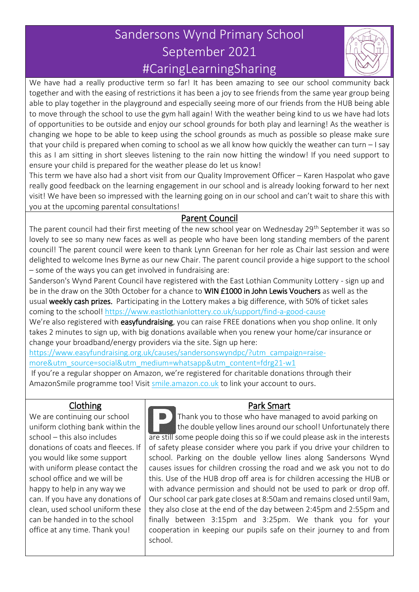# Sandersons Wynd Primary School September 2021 #CaringLearningSharing



We have had a really productive term so far! It has been amazing to see our school community back together and with the easing of restrictions it has been a joy to see friends from the same year group being able to play together in the playground and especially seeing more of our friends from the HUB being able to move through the school to use the gym hall again! With the weather being kind to us we have had lots of opportunities to be outside and enjoy our school grounds for both play and learning! As the weather is changing we hope to be able to keep using the school grounds as much as possible so please make sure that your child is prepared when coming to school as we all know how quickly the weather can turn – I say this as I am sitting in short sleeves listening to the rain now hitting the window! If you need support to ensure your child is prepared for the weather please do let us know!

This term we have also had a short visit from our Quality Improvement Officer – Karen Haspolat who gave really good feedback on the learning engagement in our school and is already looking forward to her next visit! We have been so impressed with the learning going on in our school and can't wait to share this with you at the upcoming parental consultations!

#### Parent Council

The parent council had their first meeting of the new school year on Wednesday 29<sup>th</sup> September it was so lovely to see so many new faces as well as people who have been long standing members of the parent council! The parent council were keen to thank Lynn Greenan for her role as Chair last session and were delighted to welcome Ines Byrne as our new Chair. The parent council provide a hige support to the school – some of the ways you can get involved in fundraising are:

Sanderson's Wynd Parent Council have registered with the East Lothian Community Lottery - sign up and be in the draw on the 30th October for a chance to WIN £1000 in John Lewis Vouchers as well as the usual weekly cash prizes. Participating in the Lottery makes a big difference, with 50% of ticket sales coming to the school! <https://www.eastlothianlottery.co.uk/support/find-a-good-cause>

We're also registered with easyfundraising, you can raise FREE donations when you shop online. It only takes 2 minutes to sign up, with big donations available when you renew your home/car insurance or change your broadband/energy providers via the site. Sign up here:

[https://www.easyfundraising.org.uk/causes/sandersonswyndpc/?utm\\_campaign=raise](https://www.easyfundraising.org.uk/causes/sandersonswyndpc/?utm_campaign=raise-more&utm_source=social&utm_medium=whatsapp&utm_content=fdrg21-w1)[more&utm\\_source=social&utm\\_medium=whatsapp&utm\\_content=fdrg21-w1](https://www.easyfundraising.org.uk/causes/sandersonswyndpc/?utm_campaign=raise-more&utm_source=social&utm_medium=whatsapp&utm_content=fdrg21-w1)

If you're a regular shopper on Amazon, we're registered for charitable donations through their AmazonSmile programme too! Visit [smile.amazon.co.uk](http://smile.amazon.co.uk/) to link your account to ours.

#### Clothing

We are continuing our school uniform clothing bank within the school – this also includes donations of coats and fleeces. If you would like some support with uniform please contact the school office and we will be happy to help in any way we can. If you have any donations of clean, used school uniform these can be handed in to the school office at any time. Thank you!

### Park Smart

 Thank you to those who have managed to avoid parking on the double yellow lines around our school! Unfortunately there are still some people doing this so if we could please ask in the interests of safety please consider where you park if you drive your children to school. Parking on the double yellow lines along Sandersons Wynd causes issues for children crossing the road and we ask you not to do this. Use of the HUB drop off area is for children accessing the HUB or with advance permission and should not be used to park or drop off. Our school car park gate closes at 8:50am and remains closed until 9am, they also close at the end of the day between 2:45pm and 2:55pm and finally between 3:15pm and 3:25pm. We thank you for your cooperation in keeping our pupils safe on their journey to and from school.